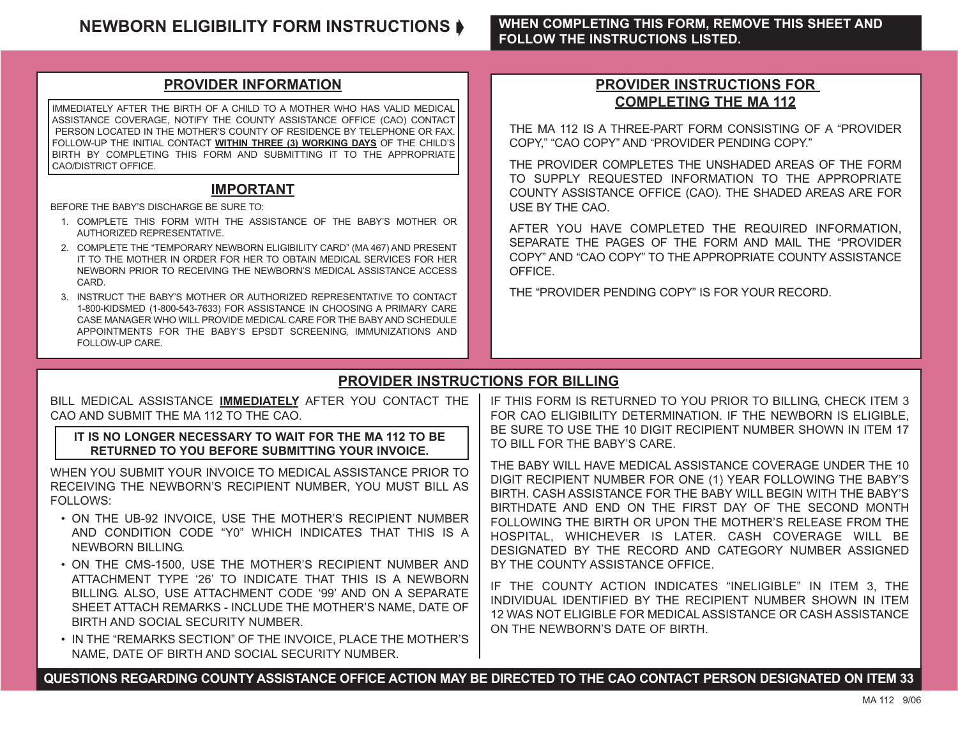#### **NEWBORN ELIGIBILITY FORM INSTRUCTIONS ♦ WHEN COMPLETING THIS FORM, REMOVE THIS SHEET AND FOLLOW THE INSTRUCTIONS LISTED.**

#### **PROVIDER INFORMATION**

IMMEDIATELY AFTER THE BIRTH OF A CHILD TO A MOTHER WHO HAS VALID MEDICAL ASSISTANCE COVERAGE, NOTIFY THE COUNTY ASSISTANCE OFFICE (CAO) CONTACT PERSON LOCATED IN THE MOTHER'S COUNTY OF RESIDENCE BY TELEPHONE OR FAX. FOLLOW-UP THE INITIAL CONTACT **WITHIN THREE (3) WORKING DAYS** OF THE CHILD'S BIRTH BY COMPLETING THIS FORM AND SUBMITTING IT TO THE APPROPRIATE CAO/DISTRICT OFFICE.

#### **IMPORTANT**

BEFORE THE BABY'S DISCHARGE BE SURE TO:

- 1. COMPLETE THIS FORM WITH THE ASSISTANCE OF THE BABY'S MOTHER OR AUTHORIZED REPRESENTATIVE.
- 2. COMPLETE THE "TEMPORARY NEWBORN ELIGIBILITY CARD" (MA 467) AND PRESENT IT TO THE MOTHER IN ORDER FOR HER TO OBTAIN MEDICAL SERVICES FOR HER NEWBORN PRIOR TO RECEIVING THE NEWBORN'S MEDICAL ASSISTANCE ACCESS CARD.
- 3. INSTRUCT THE BABY'S MOTHER OR AUTHORIZED REPRESENTATIVE TO CONTACT 1-800-KIDSMED (1-800-543-7633) FOR ASSISTANCE IN CHOOSING A PRIMARY CARE CASE MANAGER WHO WILL PROVIDE MEDICAL CARE FOR THE BABY AND SCHEDULE APPOINTMENTS FOR THE BABY'S EPSDT SCREENING, IMMUNIZATIONS AND FOLLOW-UP CARE.

#### **PROVIDER INSTRUCTIONS FOR COMPLETING THE MA 112**

THE MA 112 IS A THREE-PART FORM CONSISTING OF A "PROVIDER COPY," "CAO COPY" AND "PROVIDER PENDING COPY."

THE PROVIDER COMPLETES THE UNSHADED AREAS OF THE FORM TO SUPPLY REQUESTED INFORMATION TO THE APPROPRIATE COUNTY ASSISTANCE OFFICE (CAO). THE SHADED AREAS ARE FOR USE BY THE CAO.

AFTER YOU HAVE COMPLETED THE REQUIRED INFORMATION, SEPARATE THE PAGES OF THE FORM AND MAIL THE "PROVIDER COPY" AND "CAO COPY" TO THE APPROPRIATE COUNTY ASSISTANCE OFFICE.

THE "PROVIDER PENDING COPY" IS FOR YOUR RECORD.

### **PROVIDER INSTRUCTIONS FOR BILLING**

| BILL MEDICAL ASSISTANCE <b>IMMEDIATELY</b> AFTER YOU CONTACT THE                                                                                                                                                                                                                                                                             | IF THIS FORM IS RETURNED TO YOU PRIOR TO BILLING, CHECK ITEM 3                                                                                                                                                                                                                                                                                                                                                                                                           |  |  |  |  |  |
|----------------------------------------------------------------------------------------------------------------------------------------------------------------------------------------------------------------------------------------------------------------------------------------------------------------------------------------------|--------------------------------------------------------------------------------------------------------------------------------------------------------------------------------------------------------------------------------------------------------------------------------------------------------------------------------------------------------------------------------------------------------------------------------------------------------------------------|--|--|--|--|--|
| CAO AND SUBMIT THE MA 112 TO THE CAO.                                                                                                                                                                                                                                                                                                        | FOR CAO ELIGIBILITY DETERMINATION. IF THE NEWBORN IS ELIGIBLE,                                                                                                                                                                                                                                                                                                                                                                                                           |  |  |  |  |  |
| IT IS NO LONGER NECESSARY TO WAIT FOR THE MA 112 TO BE                                                                                                                                                                                                                                                                                       | BE SURE TO USE THE 10 DIGIT RECIPIENT NUMBER SHOWN IN ITEM 17                                                                                                                                                                                                                                                                                                                                                                                                            |  |  |  |  |  |
| RETURNED TO YOU BEFORE SUBMITTING YOUR INVOICE.                                                                                                                                                                                                                                                                                              | TO BILL FOR THE BABY'S CARE.                                                                                                                                                                                                                                                                                                                                                                                                                                             |  |  |  |  |  |
| WHEN YOU SUBMIT YOUR INVOICE TO MEDICAL ASSISTANCE PRIOR TO<br>RECEIVING THE NEWBORN'S RECIPIENT NUMBER, YOU MUST BILL AS<br>FOLLOWS:<br>• ON THE UB-92 INVOICE, USE THE MOTHER'S RECIPIENT NUMBER<br>AND CONDITION CODE "Y0" WHICH INDICATES THAT THIS IS A<br>NEWBORN BILLING.<br>. ON THE CMS-1500, USE THE MOTHER'S RECIPIENT NUMBER AND | THE BABY WILL HAVE MEDICAL ASSISTANCE COVERAGE UNDER THE 10<br>DIGIT RECIPIENT NUMBER FOR ONE (1) YEAR FOLLOWING THE BABY'S<br>BIRTH, CASH ASSISTANCE FOR THE BABY WILL BEGIN WITH THE BABY'S<br>BIRTHDATE AND END ON THE FIRST DAY OF THE SECOND MONTH<br>FOLLOWING THE BIRTH OR UPON THE MOTHER'S RELEASE FROM THE<br>HOSPITAL, WHICHEVER IS LATER. CASH COVERAGE WILL BE<br>DESIGNATED BY THE RECORD AND CATEGORY NUMBER ASSIGNED<br>BY THE COUNTY ASSISTANCE OFFICE. |  |  |  |  |  |
| ATTACHMENT TYPE '26' TO INDICATE THAT THIS IS A NEWBORN<br>BILLING. ALSO, USE ATTACHMENT CODE '99' AND ON A SEPARATE<br>SHEET ATTACH REMARKS - INCLUDE THE MOTHER'S NAME, DATE OF<br>BIRTH AND SOCIAL SECURITY NUMBER.<br>• IN THE "REMARKS SECTION" OF THE INVOICE, PLACE THE MOTHER'S<br>NAME, DATE OF BIRTH AND SOCIAL SECURITY NUMBER.   | IF THE COUNTY ACTION INDICATES "INELIGIBLE" IN ITEM 3, THE<br>INDIVIDUAL IDENTIFIED BY THE RECIPIENT NUMBER SHOWN IN ITEM<br>12 WAS NOT ELIGIBLE FOR MEDICAL ASSISTANCE OR CASH ASSISTANCE<br>ON THE NEWBORN'S DATE OF BIRTH.                                                                                                                                                                                                                                            |  |  |  |  |  |

**QUESTIONS REGARDING COUNTY ASSISTANCE OFFICE ACTION MAY BE DIRECTED TO THE CAO CONTACT PERSON DESIGNATED ON ITEM 33**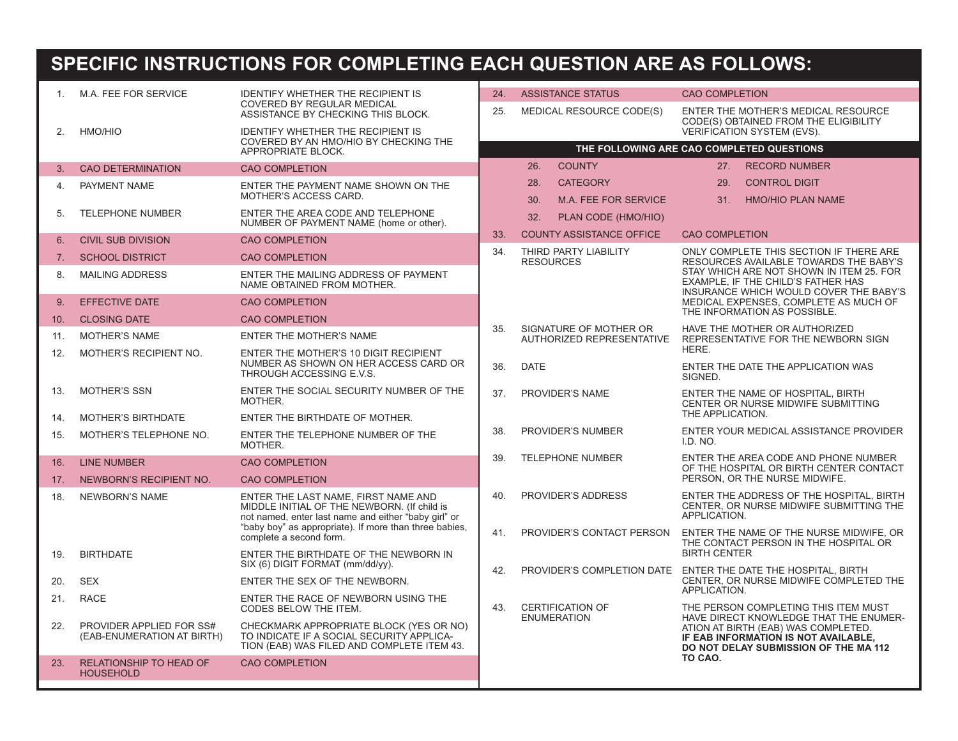# **SPECIFIC INSTRUCTIONS FOR COMPLETING EACH QUESTION ARE AS FOLLOWS:**

| 1.  | M.A. FEE FOR SERVICE                                   | <b>IDENTIFY WHETHER THE RECIPIENT IS</b><br>COVERED BY REGULAR MEDICAL                                                                     | 24. | <b>ASSISTANCE STATUS</b>  |                                         | <b>CAO COMPLETION</b>                                                   |                                                                                                                                                                |  |  |
|-----|--------------------------------------------------------|--------------------------------------------------------------------------------------------------------------------------------------------|-----|---------------------------|-----------------------------------------|-------------------------------------------------------------------------|----------------------------------------------------------------------------------------------------------------------------------------------------------------|--|--|
|     |                                                        | ASSISTANCE BY CHECKING THIS BLOCK.                                                                                                         | 25. |                           | <b>MEDICAL RESOURCE CODE(S)</b>         |                                                                         | ENTER THE MOTHER'S MEDICAL RESOURCE<br>CODE(S) OBTAINED FROM THE ELIGIBILITY                                                                                   |  |  |
| 2.  | HMO/HIO                                                | <b>IDENTIFY WHETHER THE RECIPIENT IS</b>                                                                                                   |     |                           |                                         |                                                                         | VERIFICATION SYSTEM (EVS).                                                                                                                                     |  |  |
|     |                                                        | COVERED BY AN HMO/HIO BY CHECKING THE<br>APPROPRIATE BLOCK.                                                                                |     |                           |                                         | THE FOLLOWING ARE CAO COMPLETED QUESTIONS                               |                                                                                                                                                                |  |  |
| 3.  | <b>CAO DETERMINATION</b>                               | <b>CAO COMPLETION</b>                                                                                                                      |     | 26.                       | <b>COUNTY</b>                           |                                                                         | 27. RECORD NUMBER                                                                                                                                              |  |  |
| 4.  | PAYMENT NAME                                           | ENTER THE PAYMENT NAME SHOWN ON THE<br>MOTHER'S ACCESS CARD.                                                                               |     | 28.<br>30.                | <b>CATEGORY</b><br>M.A. FEE FOR SERVICE | 29.<br>31.                                                              | <b>CONTROL DIGIT</b><br><b>HMO/HIO PLAN NAME</b>                                                                                                               |  |  |
| 5.  | <b>TELEPHONE NUMBER</b>                                | ENTER THE AREA CODE AND TELEPHONE<br>NUMBER OF PAYMENT NAME (home or other).                                                               |     | 32.                       | PLAN CODE (HMO/HIO)                     |                                                                         |                                                                                                                                                                |  |  |
| 6.  | <b>CIVIL SUB DIVISION</b>                              | <b>CAO COMPLETION</b>                                                                                                                      | 33. |                           | <b>COUNTY ASSISTANCE OFFICE</b>         | <b>CAO COMPLETION</b>                                                   |                                                                                                                                                                |  |  |
| 7.  | <b>SCHOOL DISTRICT</b>                                 | <b>CAO COMPLETION</b>                                                                                                                      | 34. | <b>RESOURCES</b>          | THIRD PARTY LIABILITY                   |                                                                         | ONLY COMPLETE THIS SECTION IF THERE ARE<br>RESOURCES AVAILABLE TOWARDS THE BABY'S                                                                              |  |  |
| 8.  | <b>MAILING ADDRESS</b>                                 | ENTER THE MAILING ADDRESS OF PAYMENT<br>NAME OBTAINED FROM MOTHER.                                                                         |     |                           |                                         |                                                                         | STAY WHICH ARE NOT SHOWN IN ITEM 25. FOR<br>EXAMPLE, IF THE CHILD'S FATHER HAS<br>INSURANCE WHICH WOULD COVER THE BABY'S                                       |  |  |
| 9.  | <b>EFFECTIVE DATE</b>                                  | <b>CAO COMPLETION</b>                                                                                                                      |     |                           |                                         |                                                                         | MEDICAL EXPENSES, COMPLETE AS MUCH OF                                                                                                                          |  |  |
| 10. | <b>CLOSING DATE</b>                                    | <b>CAO COMPLETION</b>                                                                                                                      | 35. | SIGNATURE OF MOTHER OR    |                                         | THE INFORMATION AS POSSIBLE.<br>HAVE THE MOTHER OR AUTHORIZED           |                                                                                                                                                                |  |  |
| 11. | <b>MOTHER'S NAME</b>                                   | ENTER THE MOTHER'S NAME                                                                                                                    |     | AUTHORIZED REPRESENTATIVE |                                         | REPRESENTATIVE FOR THE NEWBORN SIGN<br>HERE.                            |                                                                                                                                                                |  |  |
| 12. | MOTHER'S RECIPIENT NO.                                 | ENTER THE MOTHER'S 10 DIGIT RECIPIENT<br>NUMBER AS SHOWN ON HER ACCESS CARD OR<br>THROUGH ACCESSING E.V.S.                                 | 36. | <b>DATE</b>               |                                         | ENTER THE DATE THE APPLICATION WAS<br>SIGNED.                           |                                                                                                                                                                |  |  |
| 13. | <b>MOTHER'S SSN</b>                                    | ENTER THE SOCIAL SECURITY NUMBER OF THE<br>MOTHER.                                                                                         | 37. | PROVIDER'S NAME           |                                         | ENTER THE NAME OF HOSPITAL, BIRTH<br>CENTER OR NURSE MIDWIFE SUBMITTING |                                                                                                                                                                |  |  |
| 14. | <b>MOTHER'S BIRTHDATE</b>                              | ENTER THE BIRTHDATE OF MOTHER.                                                                                                             |     |                           |                                         | THE APPLICATION.                                                        |                                                                                                                                                                |  |  |
| 15. | MOTHER'S TELEPHONE NO.                                 | ENTER THE TELEPHONE NUMBER OF THE<br>MOTHER.                                                                                               | 38. | PROVIDER'S NUMBER         |                                         | ENTER YOUR MEDICAL ASSISTANCE PROVIDER<br>I.D. NO.                      |                                                                                                                                                                |  |  |
| 16. | <b>LINE NUMBER</b>                                     | <b>CAO COMPLETION</b>                                                                                                                      | 39. | <b>TELEPHONE NUMBER</b>   |                                         |                                                                         | ENTER THE AREA CODE AND PHONE NUMBER<br>OF THE HOSPITAL OR BIRTH CENTER CONTACT                                                                                |  |  |
| 17. | NEWBORN'S RECIPIENT NO.                                | <b>CAO COMPLETION</b>                                                                                                                      |     |                           |                                         |                                                                         | PERSON, OR THE NURSE MIDWIFE.                                                                                                                                  |  |  |
| 18. | <b>NEWBORN'S NAME</b>                                  | ENTER THE LAST NAME, FIRST NAME AND<br>MIDDLE INITIAL OF THE NEWBORN. (If child is<br>not named, enter last name and either "baby girl" or | 40. |                           | PROVIDER'S ADDRESS                      | APPLICATION.                                                            | ENTER THE ADDRESS OF THE HOSPITAL, BIRTH<br>CENTER, OR NURSE MIDWIFE SUBMITTING THE                                                                            |  |  |
|     |                                                        | "baby boy" as appropriate). If more than three babies,<br>complete a second form.                                                          | 41. |                           | PROVIDER'S CONTACT PERSON               |                                                                         | ENTER THE NAME OF THE NURSE MIDWIFE, OR<br>THE CONTACT PERSON IN THE HOSPITAL OR                                                                               |  |  |
| 19. | <b>BIRTHDATE</b>                                       | ENTER THE BIRTHDATE OF THE NEWBORN IN<br>SIX (6) DIGIT FORMAT (mm/dd/yy).                                                                  | 42. |                           |                                         | <b>BIRTH CENTER</b>                                                     | PROVIDER'S COMPLETION DATE ENTER THE DATE THE HOSPITAL, BIRTH                                                                                                  |  |  |
| 20. | <b>SEX</b>                                             | ENTER THE SEX OF THE NEWBORN.                                                                                                              |     |                           |                                         |                                                                         | CENTER, OR NURSE MIDWIFE COMPLETED THE                                                                                                                         |  |  |
| 21. | <b>RACE</b>                                            | ENTER THE RACE OF NEWBORN USING THE<br>CODES BELOW THE ITEM.                                                                               | 43. | <b>CERTIFICATION OF</b>   |                                         | APPLICATION.                                                            | THE PERSON COMPLETING THIS ITEM MUST                                                                                                                           |  |  |
| 22. | PROVIDER APPLIED FOR SS#<br>(EAB-ENUMERATION AT BIRTH) | CHECKMARK APPROPRIATE BLOCK (YES OR NO)<br>TO INDICATE IF A SOCIAL SECURITY APPLICA-<br>TION (EAB) WAS FILED AND COMPLETE ITEM 43.         |     | <b>ENUMERATION</b>        |                                         |                                                                         | HAVE DIRECT KNOWLEDGE THAT THE ENUMER-<br>ATION AT BIRTH (EAB) WAS COMPLETED.<br>IF EAB INFORMATION IS NOT AVAILABLE,<br>DO NOT DELAY SUBMISSION OF THE MA 112 |  |  |
| 23. | <b>RELATIONSHIP TO HEAD OF</b><br><b>HOUSEHOLD</b>     | <b>CAO COMPLETION</b>                                                                                                                      |     |                           |                                         | TO CAO.                                                                 |                                                                                                                                                                |  |  |
|     |                                                        |                                                                                                                                            |     |                           |                                         |                                                                         |                                                                                                                                                                |  |  |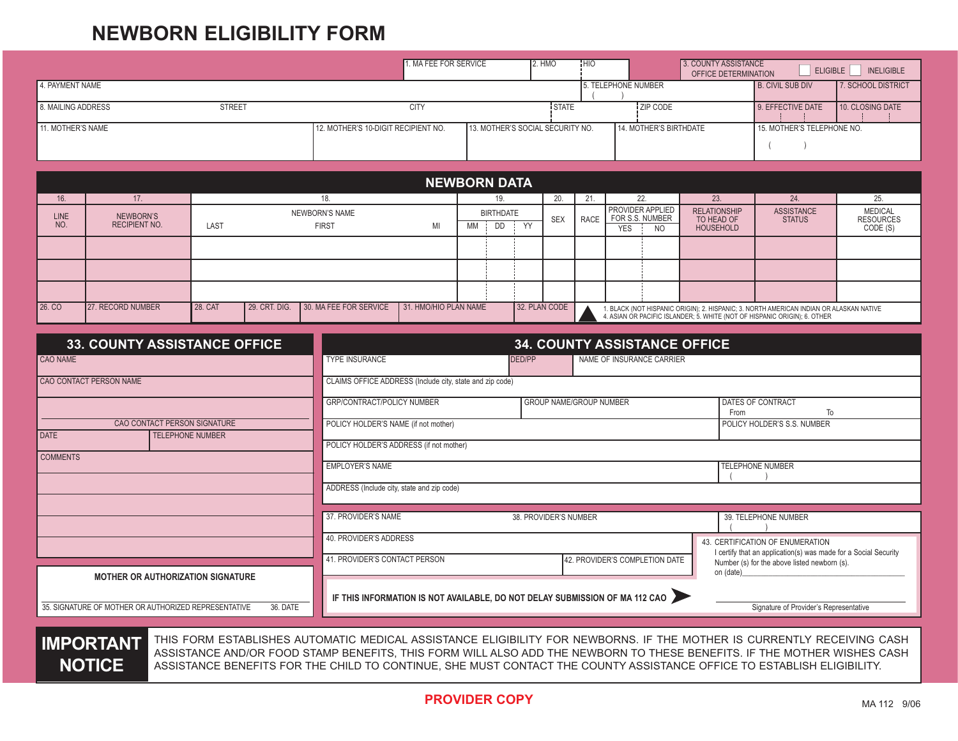## **NEWBORN ELIGIBILITY FORM**

|                    |                                     |                     |                                     |                                                          | 1. MA FEE FOR SERVICE |           |                        |                                     | 2. HMO                         | <b>HIO</b>             |                                                                                                                                                                   | 3. COUNTY ASSISTANCE<br><b>OFFICE DETERMINATION</b>   | ELIGIBLE                           | <b>INELIGIBLE</b>                              |  |
|--------------------|-------------------------------------|---------------------|-------------------------------------|----------------------------------------------------------|-----------------------|-----------|------------------------|-------------------------------------|--------------------------------|------------------------|-------------------------------------------------------------------------------------------------------------------------------------------------------------------|-------------------------------------------------------|------------------------------------|------------------------------------------------|--|
| 4. PAYMENT NAME    |                                     |                     |                                     |                                                          |                       |           |                        |                                     |                                |                        | 5. TELEPHONE NUMBER                                                                                                                                               |                                                       | <b>B. CIVIL SUB DIV</b>            | 7. SCHOOL DISTRICT                             |  |
| 8. MAILING ADDRESS |                                     | STREET              |                                     |                                                          | <b>CITY</b>           |           |                        |                                     | STATE                          |                        | ZIP CODE                                                                                                                                                          |                                                       | 9. EFFECTIVE DATE                  | 10. CLOSING DATE                               |  |
| 11. MOTHER'S NAME  |                                     |                     | 12. MOTHER'S 10-DIGIT RECIPIENT NO. | 13. MOTHER'S SOCIAL SECURITY NO.                         |                       |           |                        |                                     |                                | 14. MOTHER'S BIRTHDATE |                                                                                                                                                                   | 15. MOTHER'S TELEPHONE NO.                            |                                    |                                                |  |
|                    |                                     |                     |                                     |                                                          | <b>NEWBORN DATA</b>   |           |                        |                                     |                                |                        |                                                                                                                                                                   |                                                       |                                    |                                                |  |
| 16.                | 17.                                 |                     |                                     | 18.                                                      |                       |           | 19.                    |                                     | 20.                            | 21.                    | 22.                                                                                                                                                               | 23.                                                   | 24.                                | 25.                                            |  |
| <b>LINE</b><br>NO. | NEWBORN'S<br><b>RECIPIENT NO.</b>   | LAST                |                                     | <b>NEWBORN'S NAME</b><br><b>FIRST</b>                    | MI                    | <b>MM</b> | <b>BIRTHDATE</b><br>DD | YY                                  | <b>SEX</b>                     | RACE                   | PROVIDER APPLIED<br>FOR S.S. NUMBER<br><b>YES</b><br><b>NO</b>                                                                                                    | <b>RELATIONSHIP</b><br>TO HEAD OF<br><b>HOUSEHOLD</b> | <b>ASSISTANCE</b><br><b>STATUS</b> | <b>MEDICAL</b><br><b>RESOURCES</b><br>CODE (S) |  |
|                    |                                     |                     |                                     |                                                          |                       |           |                        |                                     |                                |                        |                                                                                                                                                                   |                                                       |                                    |                                                |  |
|                    |                                     |                     |                                     |                                                          |                       |           |                        |                                     |                                |                        |                                                                                                                                                                   |                                                       |                                    |                                                |  |
|                    |                                     |                     |                                     |                                                          |                       |           |                        |                                     |                                |                        |                                                                                                                                                                   |                                                       |                                    |                                                |  |
| 26. CO             | 27. RECORD NUMBER                   | <b>28. CAT</b>      | 29. CRT. DIG.                       | 30. MA FEE FOR SERVICE                                   | 31. HMO/HIO PLAN NAME |           |                        |                                     | 32. PLAN CODE                  |                        | 1. BLACK (NOT HISPANIC ORIGIN); 2. HISPANIC; 3. NORTH AMERICAN INDIAN OR ALASKAN NATIVE 4. ASIAN OR PACIFIC ISLANDER; 5. WHITE (NOT OF HISPANIC ORIGIN); 6. OTHER |                                                       |                                    |                                                |  |
|                    | <b>33. COUNTY ASSISTANCE OFFICE</b> |                     |                                     |                                                          |                       |           |                        |                                     |                                |                        | <b>34. COUNTY ASSISTANCE OFFICE</b>                                                                                                                               |                                                       |                                    |                                                |  |
| <b>CAO NAME</b>    |                                     |                     |                                     | <b>TYPE INSURANCE</b>                                    |                       |           |                        | NAME OF INSURANCE CARRIER<br>DED/PP |                                |                        |                                                                                                                                                                   |                                                       |                                    |                                                |  |
|                    | <b>CAO CONTACT PERSON NAME</b>      |                     |                                     | CLAIMS OFFICE ADDRESS (Include city, state and zip code) |                       |           |                        |                                     |                                |                        |                                                                                                                                                                   |                                                       |                                    |                                                |  |
|                    |                                     |                     |                                     | GRP/CONTRACT/POLICY NUMBER                               |                       |           |                        |                                     | <b>GROUP NAME/GROUP NUMBER</b> |                        |                                                                                                                                                                   | From                                                  | DATES OF CONTRACT<br>To            |                                                |  |
|                    | CAO CONTACT PERSON SIGNATURE        |                     |                                     | POLICY HOLDER'S NAME (if not mother)                     |                       |           |                        |                                     |                                |                        |                                                                                                                                                                   |                                                       | POLICY HOLDER'S S.S. NUMBER        |                                                |  |
| <b>DATE</b>        | <b>TELEPHONE NUMBER</b>             |                     |                                     | POLICY HOLDER'S ADDRESS (if not mother)                  |                       |           |                        |                                     |                                |                        |                                                                                                                                                                   |                                                       |                                    |                                                |  |
| <b>COMMENTS</b>    |                                     |                     |                                     | <b>EMPLOYER'S NAME</b>                                   |                       |           |                        |                                     |                                |                        |                                                                                                                                                                   |                                                       | <b>TELEPHONE NUMBER</b>            |                                                |  |
|                    |                                     |                     |                                     | ADDRESS (Include city, state and zip code)               |                       |           |                        |                                     |                                |                        |                                                                                                                                                                   |                                                       |                                    |                                                |  |
|                    |                                     |                     |                                     |                                                          |                       |           |                        |                                     |                                |                        |                                                                                                                                                                   |                                                       |                                    |                                                |  |
|                    |                                     | 37. PROVIDER'S NAME |                                     |                                                          |                       |           | 38. PROVIDER'S NUMBER  |                                     |                                |                        | 39. TELEPHONE NUMBER                                                                                                                                              |                                                       |                                    |                                                |  |

|                                                                                                              | I 37. PROVIDER'S NAME        | 39. TELEPHONE NUMBER                                                                                |                                                           |  |  |  |
|--------------------------------------------------------------------------------------------------------------|------------------------------|-----------------------------------------------------------------------------------------------------|-----------------------------------------------------------|--|--|--|
|                                                                                                              | 40. PROVIDER'S ADDRESS       | 43. CERTIFICATION OF ENUMERATION<br>I certify that an application(s) was made for a Social Security |                                                           |  |  |  |
|                                                                                                              | 1. PROVIDER'S CONTACT PERSON | 42. PROVIDER'S COMPLETION DATE                                                                      | Number (s) for the above listed newborn (s).<br>on (date) |  |  |  |
| <b>MOTHER OR AUTHORIZATION SIGNATURE</b><br>36. DATE<br>35. SIGNATURE OF MOTHER OR AUTHORIZED REPRESENTATIVE |                              | IF THIS INFORMATION IS NOT AVAILABLE, DO NOT DELAY SUBMISSION OF MA 112 CAO                         | Signature of Provider's Representative                    |  |  |  |
|                                                                                                              |                              |                                                                                                     |                                                           |  |  |  |

**IMPORTANT NOTICE**

THIS FORM ESTABLISHES AUTOMATIC MEDICAL ASSISTANCE ELIGIBILITY FOR NEWBORNS. IF THE MOTHER IS CURRENTLY RECEIVING CASH ASSISTANCE AND/OR FOOD STAMP BENEFITS, THIS FORM WILL ALSO ADD THE NEWBORN TO THESE BENEFITS. IF THE MOTHER WISHES CASH ASSISTANCE BENEFITS FOR THE CHILD TO CONTINUE, SHE MUST CONTACT THE COUNTY ASSISTANCE OFFICE TO ESTABLISH ELIGIBILITY.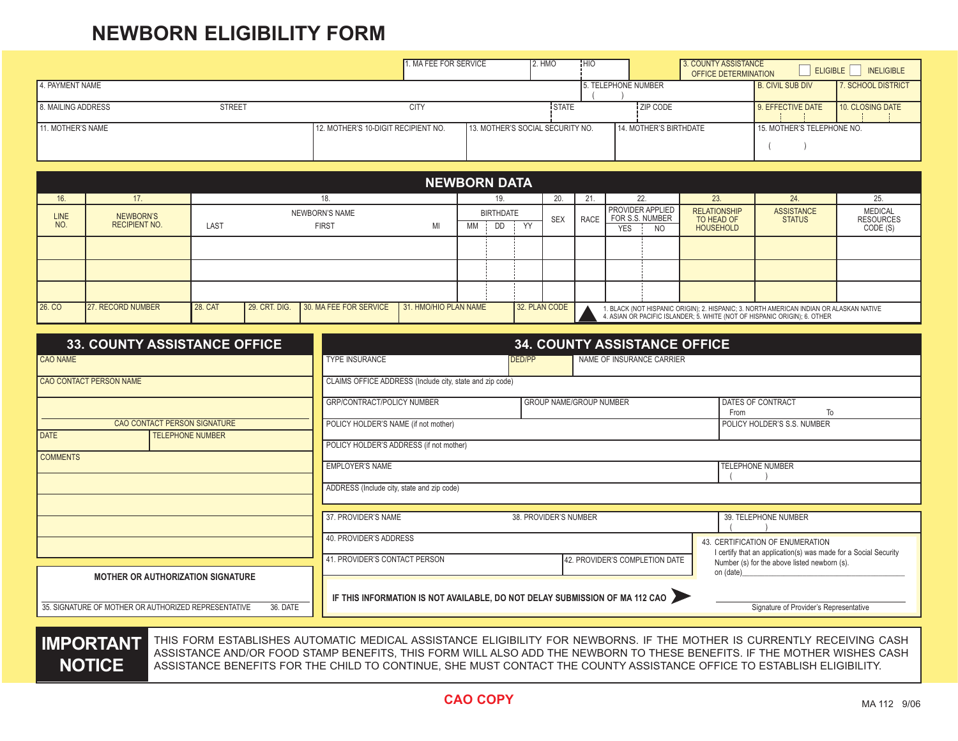## **NEWBORN ELIGIBILITY FORM**

|                    |               | 1. MA FEE FOR SERVICE               | 2. HMO                           | <b>HIC</b>          | 3. COUNTY ASSISTANCE<br><b>OFFICE DETERMINATION</b> | <b>ELIGIBLE</b>            | <b>INELIGIBLE</b>  |
|--------------------|---------------|-------------------------------------|----------------------------------|---------------------|-----------------------------------------------------|----------------------------|--------------------|
| 4. PAYMENT NAME    |               |                                     |                                  | 5. TELEPHONE NUMBER |                                                     | <b>B. CIVIL SUB DIV</b>    | 7. SCHOOL DISTRICT |
| 8. MAILING ADDRESS | <b>STREET</b> | <b>CITY</b>                         | <b>STATE</b>                     |                     | ZIP CODE                                            | 9. EFFECTIVE DATE          | 10. CLOSING DATE   |
| 11. MOTHER'S NAME  |               | 12. MOTHER'S 10-DIGIT RECIPIENT NO. | 13. MOTHER'S SOCIAL SECURITY NO. |                     | 14. MOTHER'S BIRTHDATE                              | 15. MOTHER'S TELEPHONE NO. |                    |

| <b>NEWBORN DATA</b>                                                                                                      |                                   |                       |  |                                                                                                                                                                                    |    |     |                  |           |            |             |                                            |     |                                   |                                    |                                    |
|--------------------------------------------------------------------------------------------------------------------------|-----------------------------------|-----------------------|--|------------------------------------------------------------------------------------------------------------------------------------------------------------------------------------|----|-----|------------------|-----------|------------|-------------|--------------------------------------------|-----|-----------------------------------|------------------------------------|------------------------------------|
| 16.                                                                                                                      | 17.                               | 18.                   |  |                                                                                                                                                                                    |    | 19. |                  | 20.       | 22.        |             | 23.                                        | 24. | 25.                               |                                    |                                    |
| <b>LINE</b>                                                                                                              | NEWBORN'S<br><b>RECIPIENT NO.</b> | <b>NEWBORN'S NAME</b> |  |                                                                                                                                                                                    |    |     | <b>BIRTHDATE</b> |           | <b>SEX</b> | <b>RACE</b> | <b>PROVIDER APPLIED</b><br>FOR S.S. NUMBER |     | <b>RELATIONSHIP</b><br>TO HEAD OF | <b>ASSISTANCE</b><br><b>STATUS</b> | <b>MEDICAL</b><br><b>RESOURCES</b> |
| NO.                                                                                                                      |                                   | LAST                  |  | <b>FIRST</b>                                                                                                                                                                       | MI | МM  | DD               | <b>VV</b> |            |             | <b>YES</b>                                 | NO. | <b>HOUSEHOLD</b>                  |                                    | CODE (S)                           |
|                                                                                                                          |                                   |                       |  |                                                                                                                                                                                    |    |     |                  |           |            |             |                                            |     |                                   |                                    |                                    |
|                                                                                                                          |                                   |                       |  |                                                                                                                                                                                    |    |     |                  |           |            |             |                                            |     |                                   |                                    |                                    |
|                                                                                                                          |                                   |                       |  |                                                                                                                                                                                    |    |     |                  |           |            |             |                                            |     |                                   |                                    |                                    |
| 30. MA FEE FOR SERVICE<br>26. CO<br><b>28. CAT</b><br>29. CRT. DIG.<br>31. HMO/HIO PLAN NAME<br><b>27. RECORD NUMBER</b> |                                   |                       |  | 32. PLAN CODE<br>1. BLACK (NOT HISPANIC ORIGIN); 2. HISPANIC; 3. NORTH AMERICAN INDIAN OR ALASKAN NATIVE 4. ASIAN OR PACIFIC ISLANDER; 5. WHITE (NOT OF HISPANIC ORIGIN); 6. OTHER |    |     |                  |           |            |             |                                            |     |                                   |                                    |                                    |

| <b>33. COUNTY ASSISTANCE OFFICE</b>                                    | <b>34. COUNTY ASSISTANCE OFFICE</b>                                                                                                            |                       |                                |                                                                                                                         |  |  |  |  |  |  |  |
|------------------------------------------------------------------------|------------------------------------------------------------------------------------------------------------------------------------------------|-----------------------|--------------------------------|-------------------------------------------------------------------------------------------------------------------------|--|--|--|--|--|--|--|
| <b>CAO NAME</b>                                                        | <b>TYPE INSURANCE</b>                                                                                                                          | DED/PP                | NAME OF INSURANCE CARRIER      |                                                                                                                         |  |  |  |  |  |  |  |
| CAO CONTACT PERSON NAME                                                | CLAIMS OFFICE ADDRESS (Include city, state and zip code)                                                                                       |                       |                                |                                                                                                                         |  |  |  |  |  |  |  |
|                                                                        | GRP/CONTRACT/POLICY NUMBER                                                                                                                     |                       | GROUP NAME/GROUP NUMBER        | DATES OF CONTRACT<br>To<br>From                                                                                         |  |  |  |  |  |  |  |
| CAO CONTACT PERSON SIGNATURE<br><b>DATE</b><br><b>TELEPHONE NUMBER</b> | POLICY HOLDER'S NAME (if not mother)                                                                                                           |                       |                                | POLICY HOLDER'S S.S. NUMBER                                                                                             |  |  |  |  |  |  |  |
|                                                                        | POLICY HOLDER'S ADDRESS (if not mother)                                                                                                        |                       |                                |                                                                                                                         |  |  |  |  |  |  |  |
| <b>COMMENTS</b>                                                        | <b>EMPLOYER'S NAME</b><br><b>TELEPHONE NUMBER</b>                                                                                              |                       |                                |                                                                                                                         |  |  |  |  |  |  |  |
|                                                                        | ADDRESS (Include city, state and zip code)                                                                                                     |                       |                                |                                                                                                                         |  |  |  |  |  |  |  |
|                                                                        | 37. PROVIDER'S NAME                                                                                                                            | 38. PROVIDER'S NUMBER |                                | 39. TELEPHONE NUMBER                                                                                                    |  |  |  |  |  |  |  |
|                                                                        | 40. PROVIDER'S ADDRESS                                                                                                                         |                       |                                | 43. CERTIFICATION OF ENUMERATION<br>I certify that an application(s) was made for a Social Security                     |  |  |  |  |  |  |  |
|                                                                        | 41. PROVIDER'S CONTACT PERSON                                                                                                                  |                       | 42. PROVIDER'S COMPLETION DATE | Number (s) for the above listed newborn (s).                                                                            |  |  |  |  |  |  |  |
| <b>MOTHER OR AUTHORIZATION SIGNATURE</b>                               | on (date)<br>IF THIS INFORMATION IS NOT AVAILABLE, DO NOT DELAY SUBMISSION OF MA 112 CAO<br>Signature of Provider's Representative<br>36. DATE |                       |                                |                                                                                                                         |  |  |  |  |  |  |  |
| 35. SIGNATURE OF MOTHER OR AUTHORIZED REPRESENTATIVE                   |                                                                                                                                                |                       |                                |                                                                                                                         |  |  |  |  |  |  |  |
| <b>INDARTIVE</b>                                                       |                                                                                                                                                |                       |                                | THIS EODM ESTABLISHES ALITOMATIC MEDICAL ASSISTANCE ELICIBILITY EOD NEMBODNS. IE THE MOTHED IS CHODENTLY DECENTING CASH |  |  |  |  |  |  |  |

**IMPORTANT NOTICE**

THIS FORM ESTABLISHES AUTOMATIC MEDICAL ASSISTANCE ELIGIBILITY FOR NEWBORNS. IF THE MOTHER IS CURRENTLY RECEIVING CASH ASSISTANCE AND/OR FOOD STAMP BENEFITS, THIS FORM WILL ALSO ADD THE NEWBORN TO THESE BENEFITS. IF THE MOTHER WISHES CASH ASSISTANCE BENEFITS FOR THE CHILD TO CONTINUE, SHE MUST CONTACT THE COUNTY ASSISTANCE OFFICE TO ESTABLISH ELIGIBILITY.